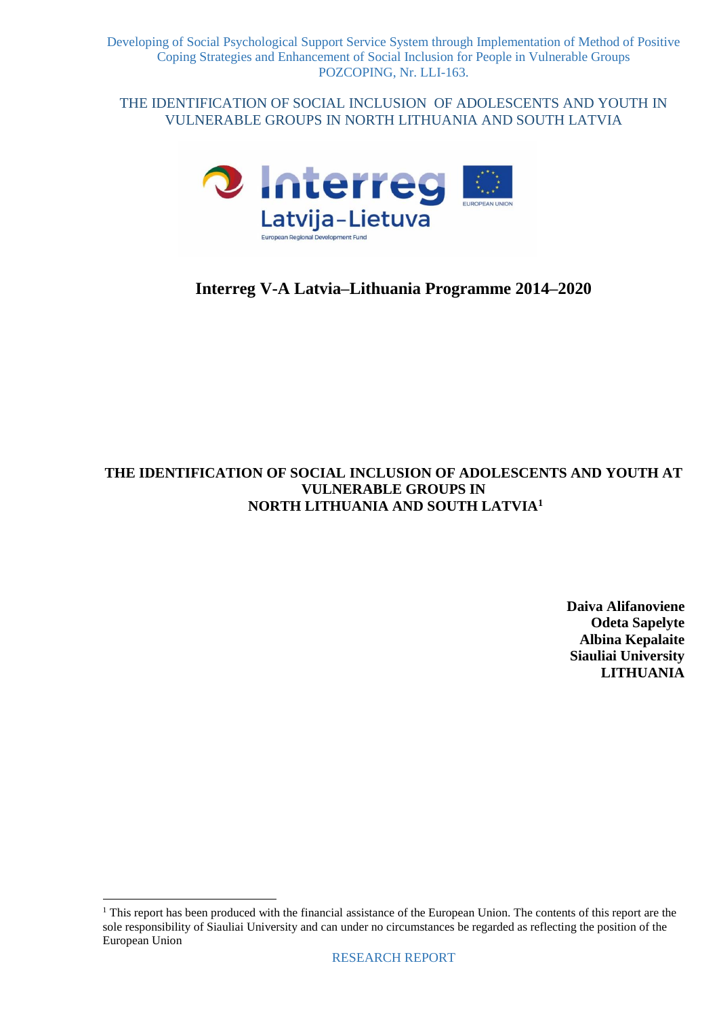

# **Interreg V-A Latvia–Lithuania Programme 2014–2020**

# **THE IDENTIFICATION OF SOCIAL INCLUSION OF ADOLESCENTS AND YOUTH AT VULNERABLE GROUPS IN NORTH LITHUANIA AND SOUTH LATVIA<sup>1</sup>**

**Daiva Alifanoviene Odeta Sapelyte Albina Kepalaite Siauliai University LITHUANIA**

<u>.</u>

 $<sup>1</sup>$  This report has been produced with the financial assistance of the European Union. The contents of this report are the</sup> sole responsibility of Siauliai University and can under no circumstances be regarded as reflecting the position of the European Union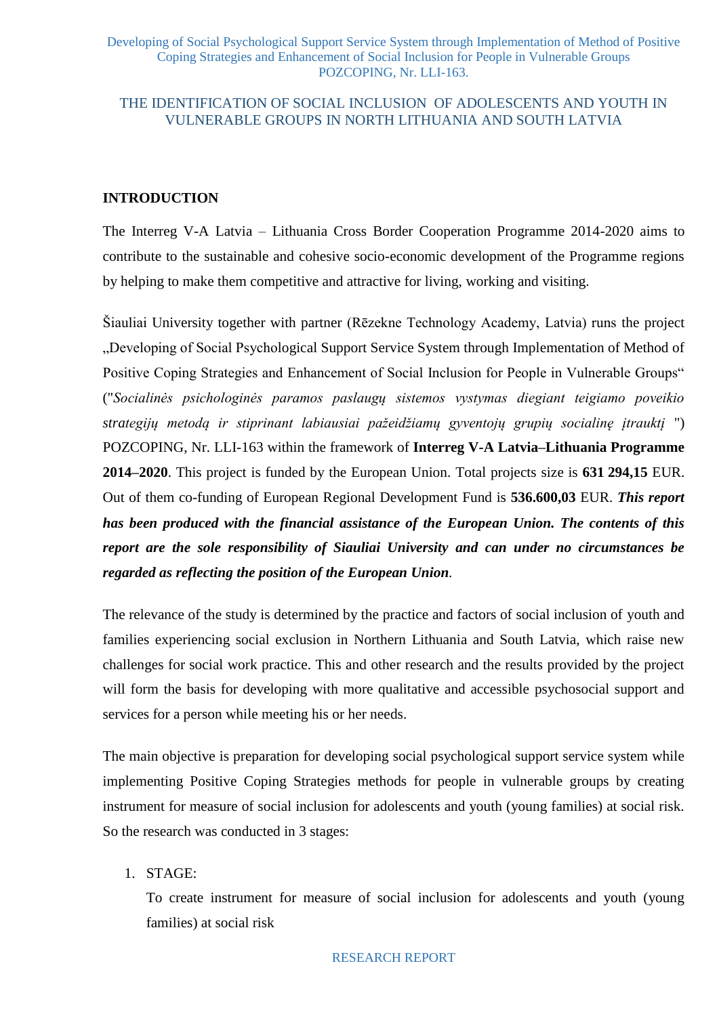# **INTRODUCTION**

The Interreg V-A Latvia – Lithuania Cross Border Cooperation Programme 2014-2020 aims to contribute to the sustainable and cohesive socio-economic development of the Programme regions by helping to make them competitive and attractive for living, working and visiting.

Šiauliai University together with partner (Rēzekne Technology Academy, Latvia) runs the project "Developing of Social Psychological Support Service System through Implementation of Method of Positive Coping Strategies and Enhancement of Social Inclusion for People in Vulnerable Groups" ("*Socialinės psichologinės paramos paslaugų sistemos vystymas diegiant teigiamo poveikio strategijų metodą ir stiprinant labiausiai pažeidžiamų gyventojų grupių socialinę įtrauktį* ") POZCOPING, Nr. LLI-163 within the framework of **Interreg V-A Latvia–Lithuania Programme 2014–2020**. This project is funded by the European Union. Total projects size is **631 294,15** EUR. Out of them co-funding of European Regional Development Fund is **536.600,03** EUR. *This report has been produced with the financial assistance of the European Union. The contents of this report are the sole responsibility of Siauliai University and can under no circumstances be regarded as reflecting the position of the European Union.* 

The relevance of the study is determined by the practice and factors of social inclusion of youth and families experiencing social exclusion in Northern Lithuania and South Latvia, which raise new challenges for social work practice. This and other research and the results provided by the project will form the basis for developing with more qualitative and accessible psychosocial support and services for a person while meeting his or her needs.

The main objective is preparation for developing social psychological support service system while implementing Positive Coping Strategies methods for people in vulnerable groups by creating instrument for measure of social inclusion for adolescents and youth (young families) at social risk. So the research was conducted in 3 stages:

1. STAGE:

To create instrument for measure of social inclusion for adolescents and youth (young families) at social risk

#### RESEARCH REPORT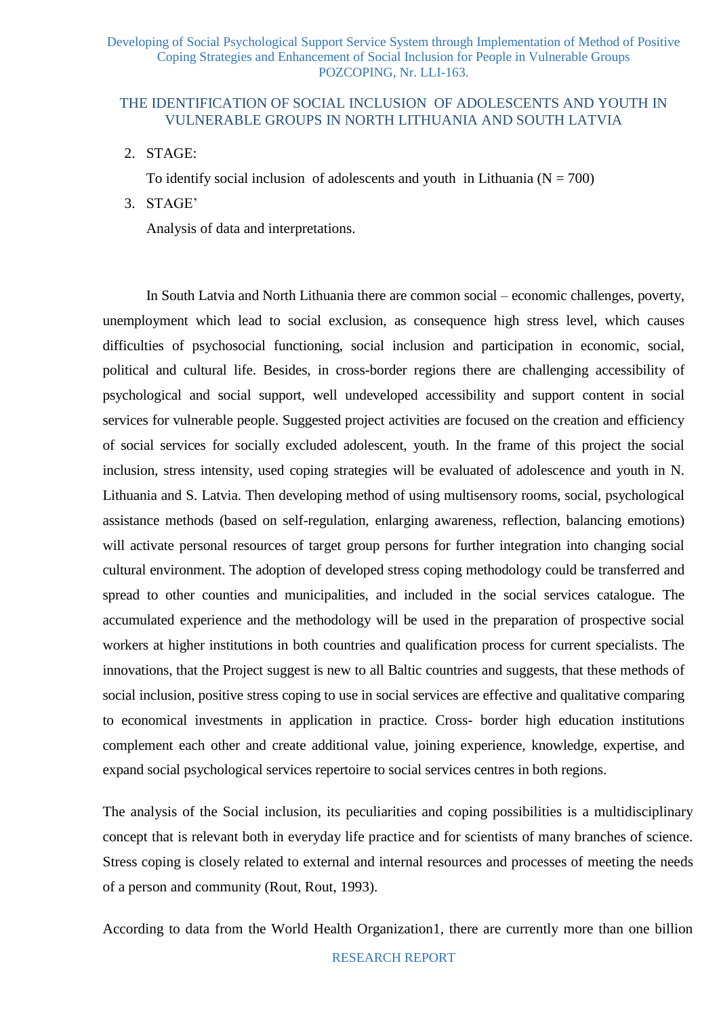## THE IDENTIFICATION OF SOCIAL INCLUSION OF ADOLESCENTS AND YOUTH IN VULNERABLE GROUPS IN NORTH LITHUANIA AND SOUTH LATVIA

2. STAGE:

To identify social inclusion of adolescents and youth in Lithuania  $(N = 700)$ 

3. STAGE'

Analysis of data and interpretations.

In South Latvia and North Lithuania there are common social – economic challenges, poverty, unemployment which lead to social exclusion, as consequence high stress level, which causes difficulties of psychosocial functioning, social inclusion and participation in economic, social, political and cultural life. Besides, in cross-border regions there are challenging accessibility of psychological and social support, well undeveloped accessibility and support content in social services for vulnerable people. Suggested project activities are focused on the creation and efficiency of social services for socially excluded adolescent, youth. In the frame of this project the social inclusion, stress intensity, used coping strategies will be evaluated of adolescence and youth in N. Lithuania and S. Latvia. Then developing method of using multisensory rooms, social, psychological assistance methods (based on self-regulation, enlarging awareness, reflection, balancing emotions) will activate personal resources of target group persons for further integration into changing social cultural environment. The adoption of developed stress coping methodology could be transferred and spread to other counties and municipalities, and included in the social services catalogue. The accumulated experience and the methodology will be used in the preparation of prospective social workers at higher institutions in both countries and qualification process for current specialists. The innovations, that the Project suggest is new to all Baltic countries and suggests, that these methods of social inclusion, positive stress coping to use in social services are effective and qualitative comparing to economical investments in application in practice. Cross- border high education institutions complement each other and create additional value, joining experience, knowledge, expertise, and expand social psychological services repertoire to social services centres in both regions.

The analysis of the Social inclusion, its peculiarities and coping possibilities is a multidisciplinary concept that is relevant both in everyday life practice and for scientists of many branches of science. Stress coping is closely related to external and internal resources and processes of meeting the needs of a person and community (Rout, Rout, 1993).

According to data from the World Health Organization1, there are currently more than one billion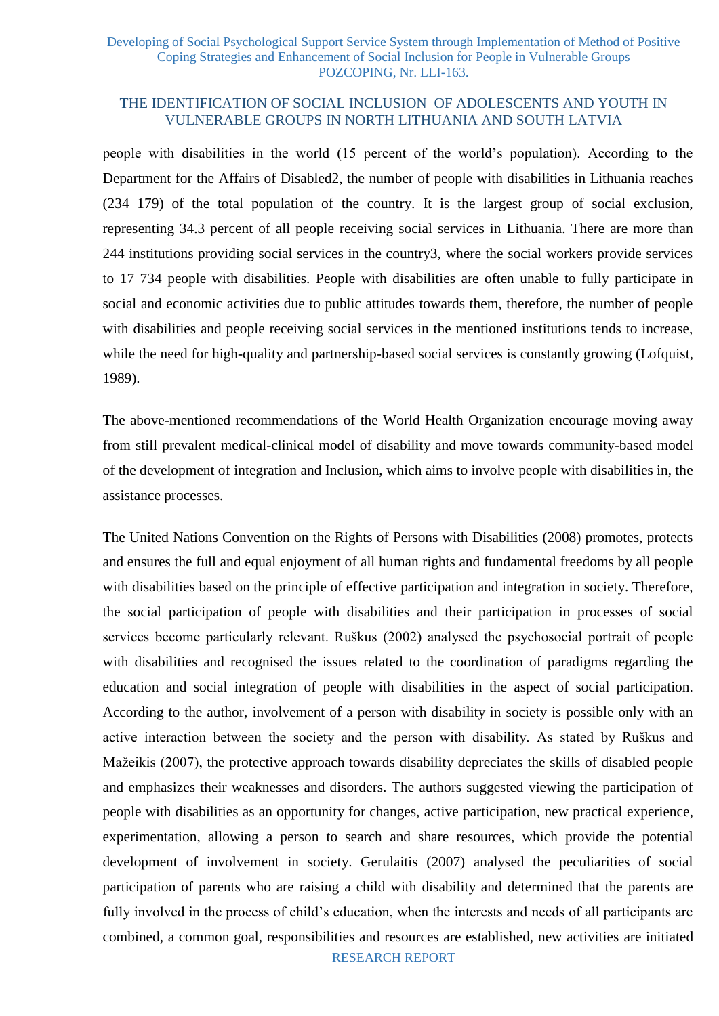## THE IDENTIFICATION OF SOCIAL INCLUSION OF ADOLESCENTS AND YOUTH IN VULNERABLE GROUPS IN NORTH LITHUANIA AND SOUTH LATVIA

people with disabilities in the world (15 percent of the world's population). According to the Department for the Affairs of Disabled2, the number of people with disabilities in Lithuania reaches (234 179) of the total population of the country. It is the largest group of social exclusion, representing 34.3 percent of all people receiving social services in Lithuania. There are more than 244 institutions providing social services in the country3, where the social workers provide services to 17 734 people with disabilities. People with disabilities are often unable to fully participate in social and economic activities due to public attitudes towards them, therefore, the number of people with disabilities and people receiving social services in the mentioned institutions tends to increase, while the need for high-quality and partnership-based social services is constantly growing (Lofquist, 1989).

The above-mentioned recommendations of the World Health Organization encourage moving away from still prevalent medical-clinical model of disability and move towards community-based model of the development of integration and Inclusion, which aims to involve people with disabilities in, the assistance processes.

The United Nations Convention on the Rights of Persons with Disabilities (2008) promotes, protects and ensures the full and equal enjoyment of all human rights and fundamental freedoms by all people with disabilities based on the principle of effective participation and integration in society. Therefore, the social participation of people with disabilities and their participation in processes of social services become particularly relevant. Ruškus (2002) analysed the psychosocial portrait of people with disabilities and recognised the issues related to the coordination of paradigms regarding the education and social integration of people with disabilities in the aspect of social participation. According to the author, involvement of a person with disability in society is possible only with an active interaction between the society and the person with disability. As stated by Ruškus and Mažeikis (2007), the protective approach towards disability depreciates the skills of disabled people and emphasizes their weaknesses and disorders. The authors suggested viewing the participation of people with disabilities as an opportunity for changes, active participation, new practical experience, experimentation, allowing a person to search and share resources, which provide the potential development of involvement in society. Gerulaitis (2007) analysed the peculiarities of social participation of parents who are raising a child with disability and determined that the parents are fully involved in the process of child's education, when the interests and needs of all participants are combined, a common goal, responsibilities and resources are established, new activities are initiated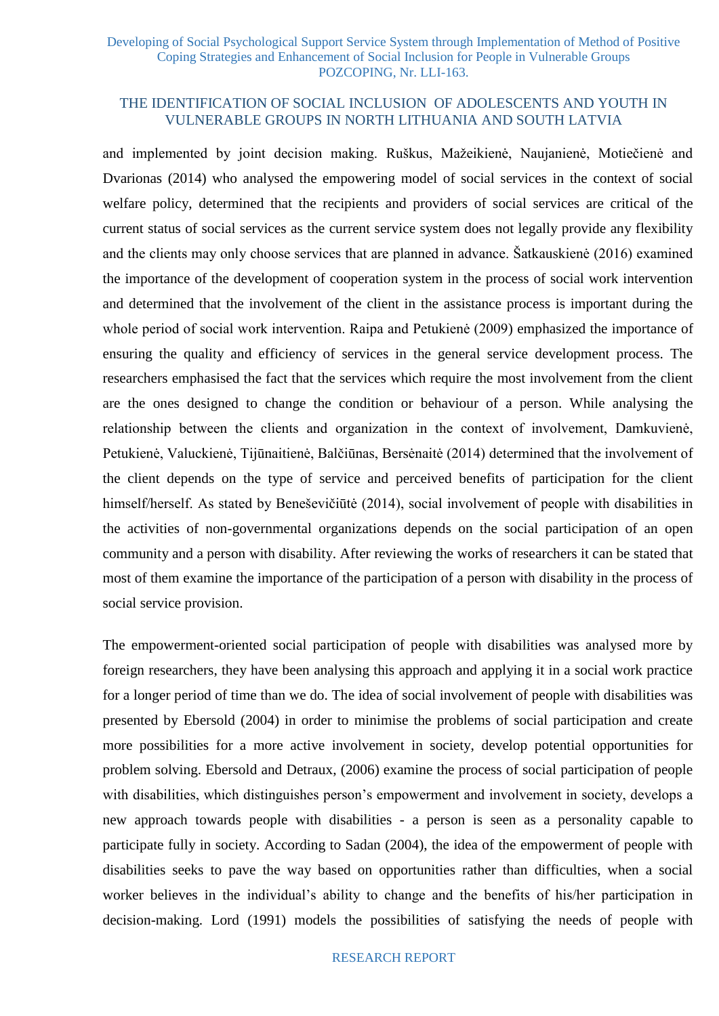## THE IDENTIFICATION OF SOCIAL INCLUSION OF ADOLESCENTS AND YOUTH IN VULNERABLE GROUPS IN NORTH LITHUANIA AND SOUTH LATVIA

and implemented by joint decision making. Ruškus, Mažeikienė, Naujanienė, Motiečienė and Dvarionas (2014) who analysed the empowering model of social services in the context of social welfare policy, determined that the recipients and providers of social services are critical of the current status of social services as the current service system does not legally provide any flexibility and the clients may only choose services that are planned in advance. Šatkauskienė (2016) examined the importance of the development of cooperation system in the process of social work intervention and determined that the involvement of the client in the assistance process is important during the whole period of social work intervention. Raipa and Petukienė (2009) emphasized the importance of ensuring the quality and efficiency of services in the general service development process. The researchers emphasised the fact that the services which require the most involvement from the client are the ones designed to change the condition or behaviour of a person. While analysing the relationship between the clients and organization in the context of involvement, Damkuvienė, Petukienė, Valuckienė, Tijūnaitienė, Balčiūnas, Bersėnaitė (2014) determined that the involvement of the client depends on the type of service and perceived benefits of participation for the client himself/herself. As stated by Beneševičiūtė (2014), social involvement of people with disabilities in the activities of non-governmental organizations depends on the social participation of an open community and a person with disability. After reviewing the works of researchers it can be stated that most of them examine the importance of the participation of a person with disability in the process of social service provision.

The empowerment-oriented social participation of people with disabilities was analysed more by foreign researchers, they have been analysing this approach and applying it in a social work practice for a longer period of time than we do. The idea of social involvement of people with disabilities was presented by Ebersold (2004) in order to minimise the problems of social participation and create more possibilities for a more active involvement in society, develop potential opportunities for problem solving. Ebersold and Detraux, (2006) examine the process of social participation of people with disabilities, which distinguishes person's empowerment and involvement in society, develops a new approach towards people with disabilities - a person is seen as a personality capable to participate fully in society. According to Sadan (2004), the idea of the empowerment of people with disabilities seeks to pave the way based on opportunities rather than difficulties, when a social worker believes in the individual's ability to change and the benefits of his/her participation in decision-making. Lord (1991) models the possibilities of satisfying the needs of people with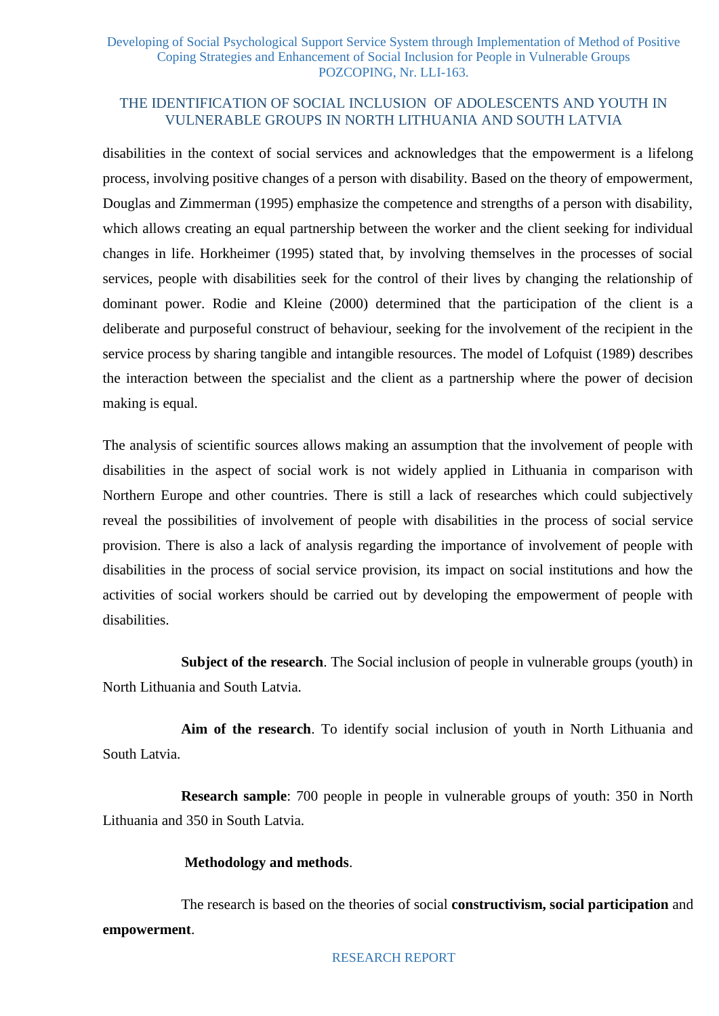## THE IDENTIFICATION OF SOCIAL INCLUSION OF ADOLESCENTS AND YOUTH IN VULNERABLE GROUPS IN NORTH LITHUANIA AND SOUTH LATVIA

disabilities in the context of social services and acknowledges that the empowerment is a lifelong process, involving positive changes of a person with disability. Based on the theory of empowerment, Douglas and Zimmerman (1995) emphasize the competence and strengths of a person with disability, which allows creating an equal partnership between the worker and the client seeking for individual changes in life. Horkheimer (1995) stated that, by involving themselves in the processes of social services, people with disabilities seek for the control of their lives by changing the relationship of dominant power. Rodie and Kleine (2000) determined that the participation of the client is a deliberate and purposeful construct of behaviour, seeking for the involvement of the recipient in the service process by sharing tangible and intangible resources. The model of Lofquist (1989) describes the interaction between the specialist and the client as a partnership where the power of decision making is equal.

The analysis of scientific sources allows making an assumption that the involvement of people with disabilities in the aspect of social work is not widely applied in Lithuania in comparison with Northern Europe and other countries. There is still a lack of researches which could subjectively reveal the possibilities of involvement of people with disabilities in the process of social service provision. There is also a lack of analysis regarding the importance of involvement of people with disabilities in the process of social service provision, its impact on social institutions and how the activities of social workers should be carried out by developing the empowerment of people with disabilities.

**Subject of the research**. The Social inclusion of people in vulnerable groups (youth) in North Lithuania and South Latvia.

**Aim of the research**. To identify social inclusion of youth in North Lithuania and South Latvia.

**Research sample**: 700 people in people in vulnerable groups of youth: 350 in North Lithuania and 350 in South Latvia.

### **Methodology and methods**.

The research is based on the theories of social **constructivism, social participation** and **empowerment**.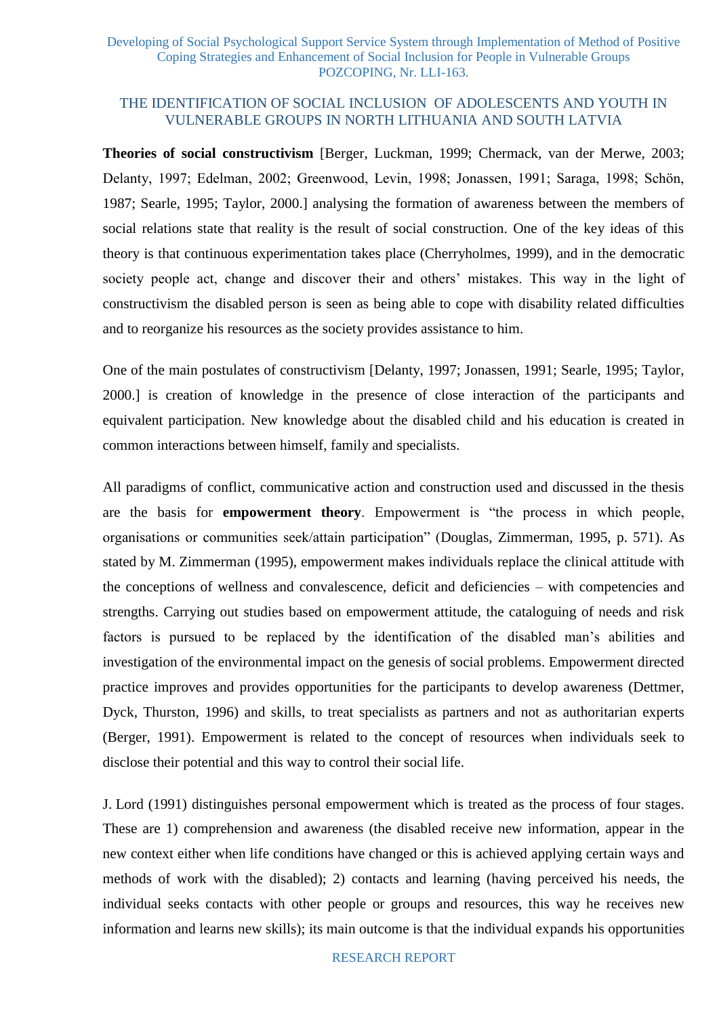## THE IDENTIFICATION OF SOCIAL INCLUSION OF ADOLESCENTS AND YOUTH IN VULNERABLE GROUPS IN NORTH LITHUANIA AND SOUTH LATVIA

**Theories of social constructivism** [Berger, Luckman, 1999; Chermack, van der Merwe, 2003; Delanty, 1997; Edelman, 2002; Greenwood, Levin, 1998; Jonassen, 1991; Saraga, 1998; Schön, 1987; Searle, 1995; Taylor, 2000.] analysing the formation of awareness between the members of social relations state that reality is the result of social construction. One of the key ideas of this theory is that continuous experimentation takes place (Cherryholmes, 1999), and in the democratic society people act, change and discover their and others' mistakes. This way in the light of constructivism the disabled person is seen as being able to cope with disability related difficulties and to reorganize his resources as the society provides assistance to him.

One of the main postulates of constructivism [Delanty, 1997; Jonassen, 1991; Searle, 1995; Taylor, 2000.] is creation of knowledge in the presence of close interaction of the participants and equivalent participation. New knowledge about the disabled child and his education is created in common interactions between himself, family and specialists.

All paradigms of conflict, communicative action and construction used and discussed in the thesis are the basis for **empowerment theory**. Empowerment is "the process in which people, organisations or communities seek/attain participation" (Douglas, Zimmerman, 1995, p. 571). As stated by M. Zimmerman (1995), empowerment makes individuals replace the clinical attitude with the conceptions of wellness and convalescence, deficit and deficiencies – with competencies and strengths. Carrying out studies based on empowerment attitude, the cataloguing of needs and risk factors is pursued to be replaced by the identification of the disabled man's abilities and investigation of the environmental impact on the genesis of social problems. Empowerment directed practice improves and provides opportunities for the participants to develop awareness (Dettmer, Dyck, Thurston, 1996) and skills, to treat specialists as partners and not as authoritarian experts (Berger, 1991). Empowerment is related to the concept of resources when individuals seek to disclose their potential and this way to control their social life.

J. Lord (1991) distinguishes personal empowerment which is treated as the process of four stages. These are 1) comprehension and awareness (the disabled receive new information, appear in the new context either when life conditions have changed or this is achieved applying certain ways and methods of work with the disabled); 2) contacts and learning (having perceived his needs, the individual seeks contacts with other people or groups and resources, this way he receives new information and learns new skills); its main outcome is that the individual expands his opportunities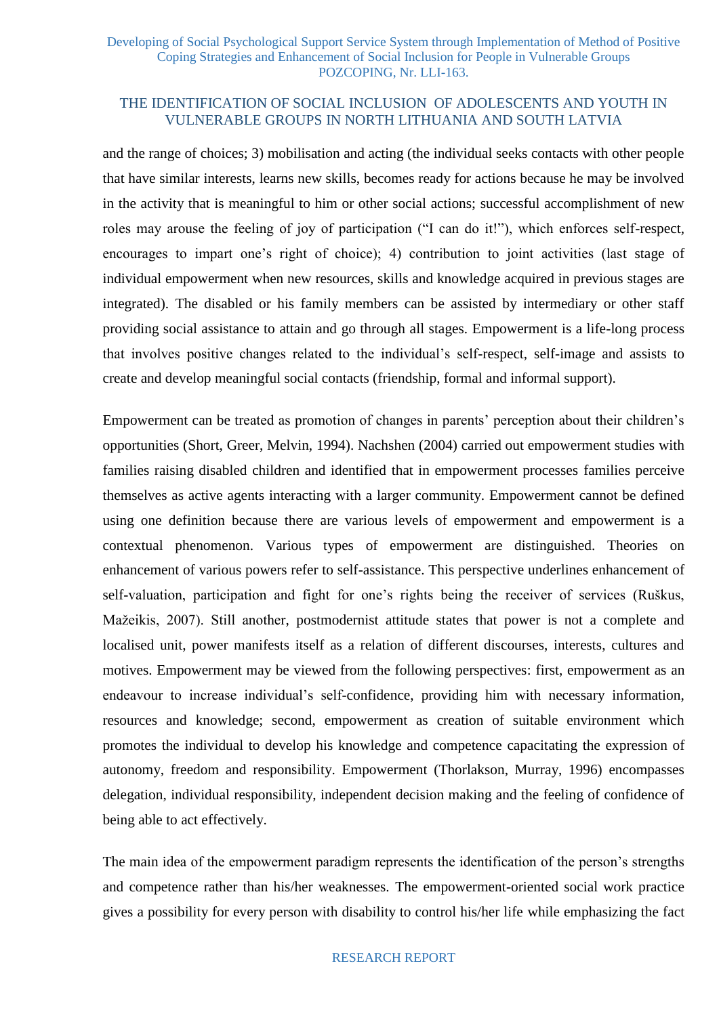and the range of choices; 3) mobilisation and acting (the individual seeks contacts with other people that have similar interests, learns new skills, becomes ready for actions because he may be involved in the activity that is meaningful to him or other social actions; successful accomplishment of new roles may arouse the feeling of joy of participation ("I can do it!"), which enforces self-respect, encourages to impart one's right of choice); 4) contribution to joint activities (last stage of individual empowerment when new resources, skills and knowledge acquired in previous stages are integrated). The disabled or his family members can be assisted by intermediary or other staff providing social assistance to attain and go through all stages. Empowerment is a life-long process that involves positive changes related to the individual's self-respect, self-image and assists to create and develop meaningful social contacts (friendship, formal and informal support).

Empowerment can be treated as promotion of changes in parents' perception about their children's opportunities (Short, Greer, Melvin, 1994). Nachshen (2004) carried out empowerment studies with families raising disabled children and identified that in empowerment processes families perceive themselves as active agents interacting with a larger community. Empowerment cannot be defined using one definition because there are various levels of empowerment and empowerment is a contextual phenomenon. Various types of empowerment are distinguished. Theories on enhancement of various powers refer to self-assistance. This perspective underlines enhancement of self-valuation, participation and fight for one's rights being the receiver of services (Ruškus, Mažeikis, 2007). Still another, postmodernist attitude states that power is not a complete and localised unit, power manifests itself as a relation of different discourses, interests, cultures and motives. Empowerment may be viewed from the following perspectives: first, empowerment as an endeavour to increase individual's self-confidence, providing him with necessary information, resources and knowledge; second, empowerment as creation of suitable environment which promotes the individual to develop his knowledge and competence capacitating the expression of autonomy, freedom and responsibility. Empowerment (Thorlakson, Murray, 1996) encompasses delegation, individual responsibility, independent decision making and the feeling of confidence of being able to act effectively.

The main idea of the empowerment paradigm represents the identification of the person's strengths and competence rather than his/her weaknesses. The empowerment-oriented social work practice gives a possibility for every person with disability to control his/her life while emphasizing the fact

#### RESEARCH REPORT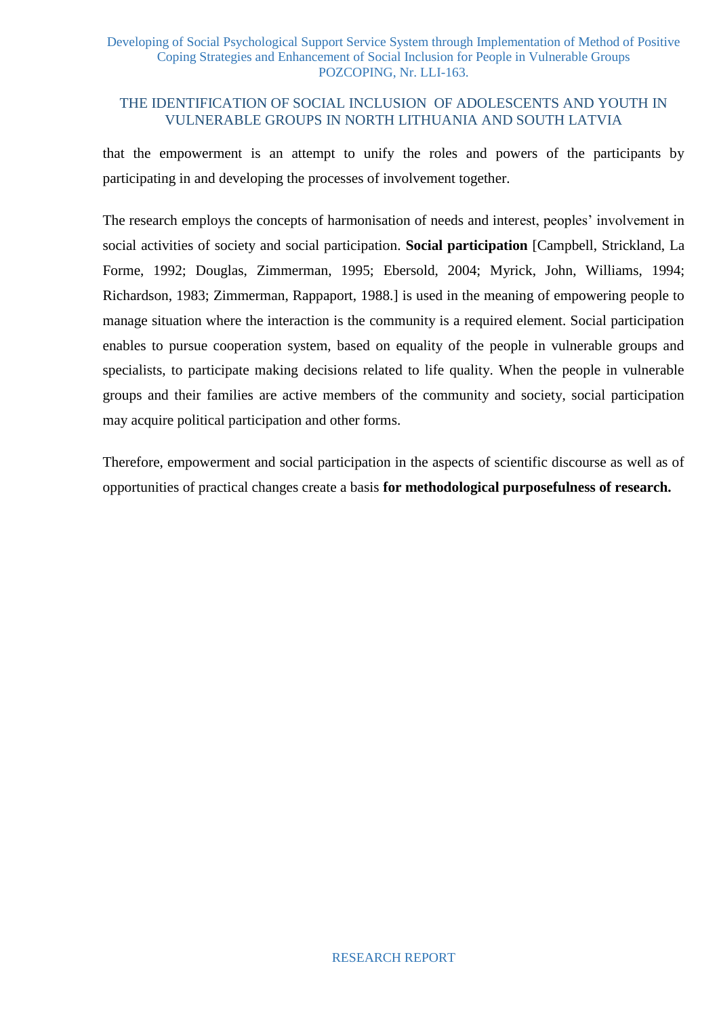# THE IDENTIFICATION OF SOCIAL INCLUSION OF ADOLESCENTS AND YOUTH IN VULNERABLE GROUPS IN NORTH LITHUANIA AND SOUTH LATVIA

that the empowerment is an attempt to unify the roles and powers of the participants by participating in and developing the processes of involvement together.

The research employs the concepts of harmonisation of needs and interest, peoples' involvement in social activities of society and social participation. **Social participation** [Campbell, Strickland, La Forme, 1992; Douglas, Zimmerman, 1995; Ebersold, 2004; Myrick, John, Williams, 1994; Richardson, 1983; Zimmerman, Rappaport, 1988.] is used in the meaning of empowering people to manage situation where the interaction is the community is a required element. Social participation enables to pursue cooperation system, based on equality of the people in vulnerable groups and specialists, to participate making decisions related to life quality. When the people in vulnerable groups and their families are active members of the community and society, social participation may acquire political participation and other forms.

Therefore, empowerment and social participation in the aspects of scientific discourse as well as of opportunities of practical changes create a basis **for methodological purposefulness of research.**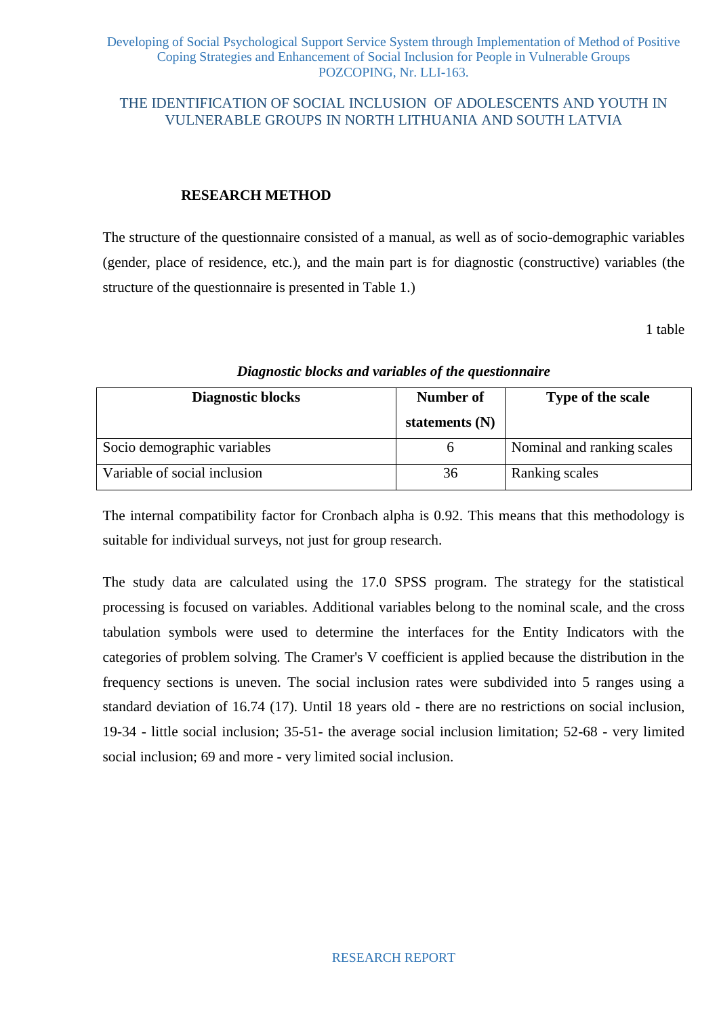## THE IDENTIFICATION OF SOCIAL INCLUSION OF ADOLESCENTS AND YOUTH IN VULNERABLE GROUPS IN NORTH LITHUANIA AND SOUTH LATVIA

#### **RESEARCH METHOD**

The structure of the questionnaire consisted of a manual, as well as of socio-demographic variables (gender, place of residence, etc.), and the main part is for diagnostic (constructive) variables (the structure of the questionnaire is presented in Table 1.)

1 table

| <b>Diagnostic blocks</b>     | Number of<br>statements $(N)$ | Type of the scale          |
|------------------------------|-------------------------------|----------------------------|
| Socio demographic variables  | <sub>0</sub>                  | Nominal and ranking scales |
| Variable of social inclusion | 36                            | Ranking scales             |

#### *Diagnostic blocks and variables of the questionnaire*

The internal compatibility factor for Cronbach alpha is 0.92. This means that this methodology is suitable for individual surveys, not just for group research.

The study data are calculated using the 17.0 SPSS program. The strategy for the statistical processing is focused on variables. Additional variables belong to the nominal scale, and the cross tabulation symbols were used to determine the interfaces for the Entity Indicators with the categories of problem solving. The Cramer's V coefficient is applied because the distribution in the frequency sections is uneven. The social inclusion rates were subdivided into 5 ranges using a standard deviation of 16.74 (17). Until 18 years old - there are no restrictions on social inclusion, 19-34 - little social inclusion; 35-51- the average social inclusion limitation; 52-68 - very limited social inclusion; 69 and more - very limited social inclusion.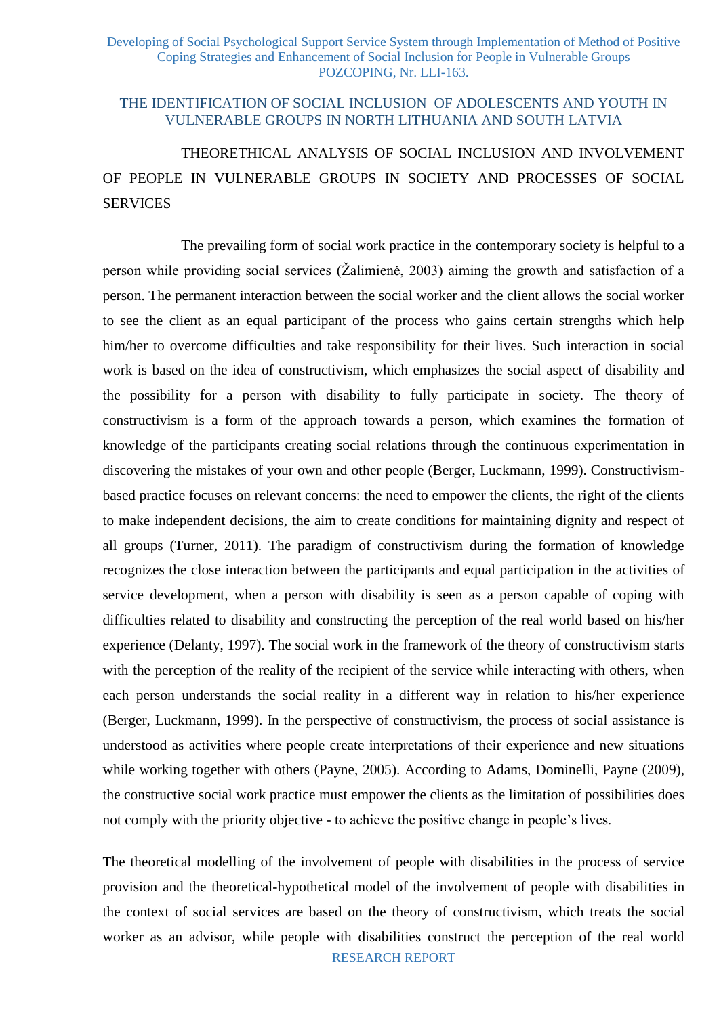#### THE IDENTIFICATION OF SOCIAL INCLUSION OF ADOLESCENTS AND YOUTH IN VULNERABLE GROUPS IN NORTH LITHUANIA AND SOUTH LATVIA

# THEORETHICAL ANALYSIS OF SOCIAL INCLUSION AND INVOLVEMENT OF PEOPLE IN VULNERABLE GROUPS IN SOCIETY AND PROCESSES OF SOCIAL **SERVICES**

The prevailing form of social work practice in the contemporary society is helpful to a person while providing social services (Žalimienė, 2003) aiming the growth and satisfaction of a person. The permanent interaction between the social worker and the client allows the social worker to see the client as an equal participant of the process who gains certain strengths which help him/her to overcome difficulties and take responsibility for their lives. Such interaction in social work is based on the idea of constructivism, which emphasizes the social aspect of disability and the possibility for a person with disability to fully participate in society. The theory of constructivism is a form of the approach towards a person, which examines the formation of knowledge of the participants creating social relations through the continuous experimentation in discovering the mistakes of your own and other people (Berger, Luckmann, 1999). Constructivismbased practice focuses on relevant concerns: the need to empower the clients, the right of the clients to make independent decisions, the aim to create conditions for maintaining dignity and respect of all groups (Turner, 2011). The paradigm of constructivism during the formation of knowledge recognizes the close interaction between the participants and equal participation in the activities of service development, when a person with disability is seen as a person capable of coping with difficulties related to disability and constructing the perception of the real world based on his/her experience (Delanty, 1997). The social work in the framework of the theory of constructivism starts with the perception of the reality of the recipient of the service while interacting with others, when each person understands the social reality in a different way in relation to his/her experience (Berger, Luckmann, 1999). In the perspective of constructivism, the process of social assistance is understood as activities where people create interpretations of their experience and new situations while working together with others (Payne, 2005). According to Adams, Dominelli, Payne (2009), the constructive social work practice must empower the clients as the limitation of possibilities does not comply with the priority objective - to achieve the positive change in people's lives.

RESEARCH REPORT The theoretical modelling of the involvement of people with disabilities in the process of service provision and the theoretical-hypothetical model of the involvement of people with disabilities in the context of social services are based on the theory of constructivism, which treats the social worker as an advisor, while people with disabilities construct the perception of the real world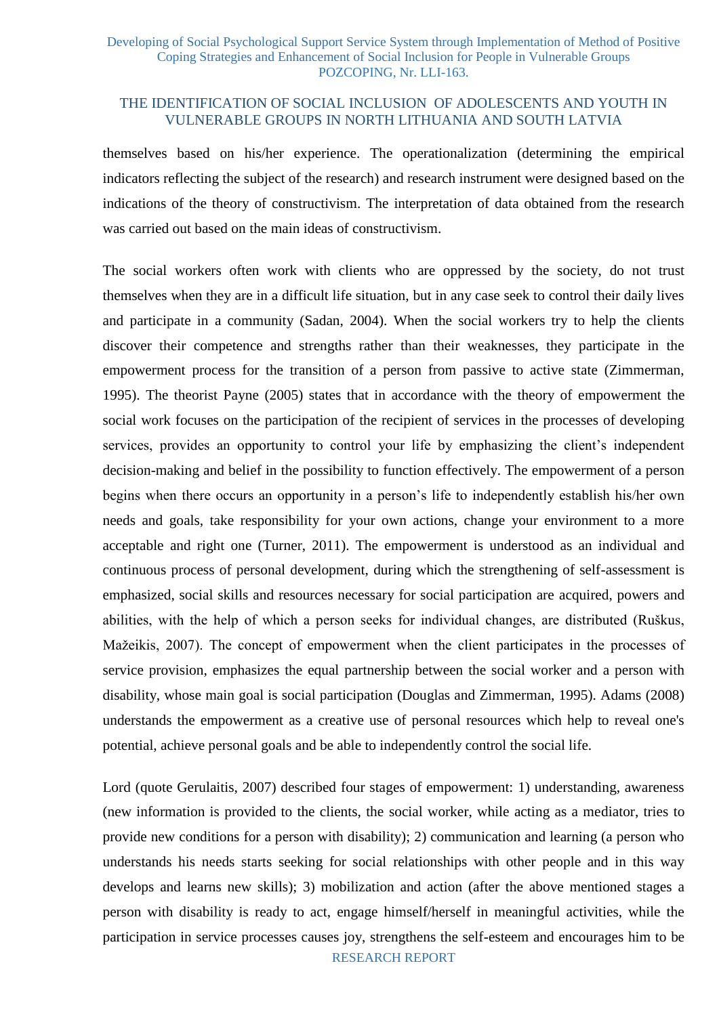### THE IDENTIFICATION OF SOCIAL INCLUSION OF ADOLESCENTS AND YOUTH IN VULNERABLE GROUPS IN NORTH LITHUANIA AND SOUTH LATVIA

themselves based on his/her experience. The operationalization (determining the empirical indicators reflecting the subject of the research) and research instrument were designed based on the indications of the theory of constructivism. The interpretation of data obtained from the research was carried out based on the main ideas of constructivism.

The social workers often work with clients who are oppressed by the society, do not trust themselves when they are in a difficult life situation, but in any case seek to control their daily lives and participate in a community (Sadan, 2004). When the social workers try to help the clients discover their competence and strengths rather than their weaknesses, they participate in the empowerment process for the transition of a person from passive to active state (Zimmerman, 1995). The theorist Payne (2005) states that in accordance with the theory of empowerment the social work focuses on the participation of the recipient of services in the processes of developing services, provides an opportunity to control your life by emphasizing the client's independent decision-making and belief in the possibility to function effectively. The empowerment of a person begins when there occurs an opportunity in a person's life to independently establish his/her own needs and goals, take responsibility for your own actions, change your environment to a more acceptable and right one (Turner, 2011). The empowerment is understood as an individual and continuous process of personal development, during which the strengthening of self-assessment is emphasized, social skills and resources necessary for social participation are acquired, powers and abilities, with the help of which a person seeks for individual changes, are distributed (Ruškus, Mažeikis, 2007). The concept of empowerment when the client participates in the processes of service provision, emphasizes the equal partnership between the social worker and a person with disability, whose main goal is social participation (Douglas and Zimmerman, 1995). Adams (2008) understands the empowerment as a creative use of personal resources which help to reveal one's potential, achieve personal goals and be able to independently control the social life.

RESEARCH REPORT Lord (quote Gerulaitis, 2007) described four stages of empowerment: 1) understanding, awareness (new information is provided to the clients, the social worker, while acting as a mediator, tries to provide new conditions for a person with disability); 2) communication and learning (a person who understands his needs starts seeking for social relationships with other people and in this way develops and learns new skills); 3) mobilization and action (after the above mentioned stages a person with disability is ready to act, engage himself/herself in meaningful activities, while the participation in service processes causes joy, strengthens the self-esteem and encourages him to be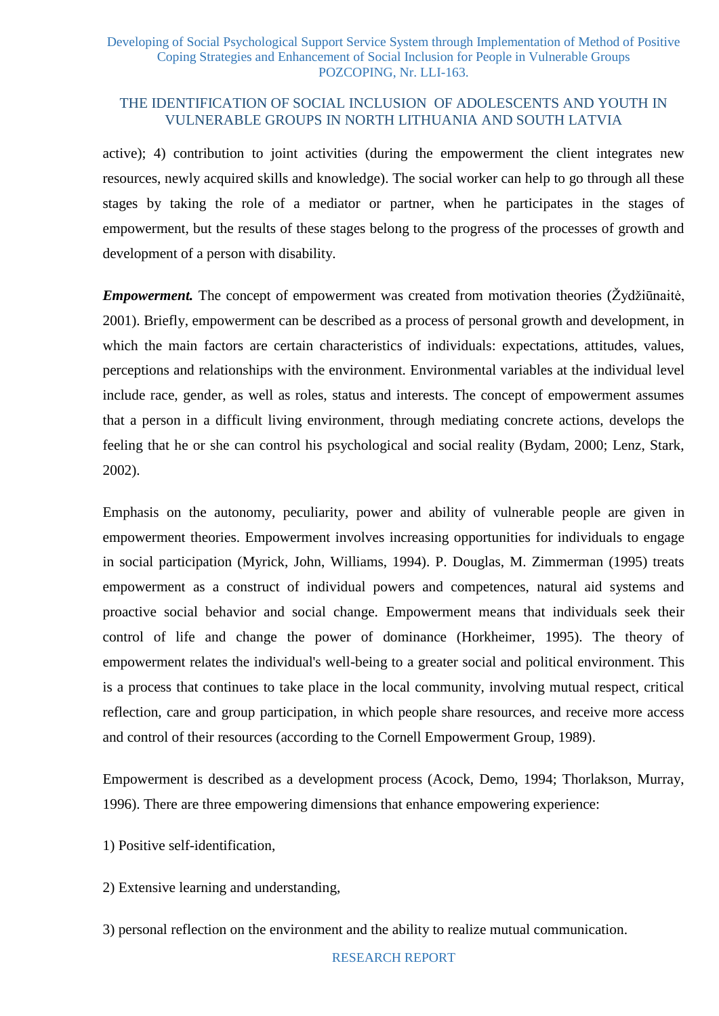active); 4) contribution to joint activities (during the empowerment the client integrates new resources, newly acquired skills and knowledge). The social worker can help to go through all these stages by taking the role of a mediator or partner, when he participates in the stages of empowerment, but the results of these stages belong to the progress of the processes of growth and development of a person with disability.

*Empowerment.* The concept of empowerment was created from motivation theories (Žydžiūnaitė, 2001). Briefly, empowerment can be described as a process of personal growth and development, in which the main factors are certain characteristics of individuals: expectations, attitudes, values, perceptions and relationships with the environment. Environmental variables at the individual level include race, gender, as well as roles, status and interests. The concept of empowerment assumes that a person in a difficult living environment, through mediating concrete actions, develops the feeling that he or she can control his psychological and social reality (Bydam, 2000; Lenz, Stark, 2002).

Emphasis on the autonomy, peculiarity, power and ability of vulnerable people are given in empowerment theories. Empowerment involves increasing opportunities for individuals to engage in social participation (Myrick, John, Williams, 1994). P. Douglas, M. Zimmerman (1995) treats empowerment as a construct of individual powers and competences, natural aid systems and proactive social behavior and social change. Empowerment means that individuals seek their control of life and change the power of dominance (Horkheimer, 1995). The theory of empowerment relates the individual's well-being to a greater social and political environment. This is a process that continues to take place in the local community, involving mutual respect, critical reflection, care and group participation, in which people share resources, and receive more access and control of their resources (according to the Cornell Empowerment Group, 1989).

Empowerment is described as a development process (Acock, Demo, 1994; Thorlakson, Murray, 1996). There are three empowering dimensions that enhance empowering experience:

1) Positive self-identification,

2) Extensive learning and understanding,

3) personal reflection on the environment and the ability to realize mutual communication.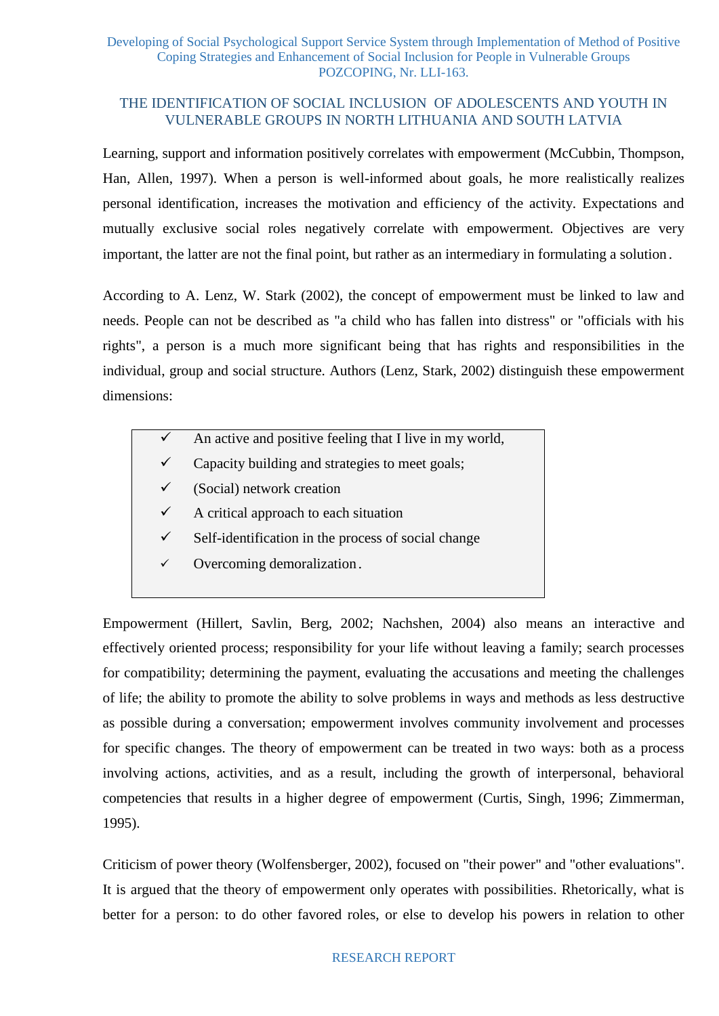Learning, support and information positively correlates with empowerment (McCubbin, Thompson, Han, Allen, 1997). When a person is well-informed about goals, he more realistically realizes personal identification, increases the motivation and efficiency of the activity. Expectations and mutually exclusive social roles negatively correlate with empowerment. Objectives are very important, the latter are not the final point, but rather as an intermediary in formulating a solution.

According to A. Lenz, W. Stark (2002), the concept of empowerment must be linked to law and needs. People can not be described as "a child who has fallen into distress" or "officials with his rights", a person is a much more significant being that has rights and responsibilities in the individual, group and social structure. Authors (Lenz, Stark, 2002) distinguish these empowerment dimensions:

- $\checkmark$  An active and positive feeling that I live in my world,
- $\checkmark$  Capacity building and strategies to meet goals;
- (Social) network creation
- $\checkmark$  A critical approach to each situation
- $\checkmark$  Self-identification in the process of social change
- $\checkmark$  Overcoming demoralization.

Empowerment (Hillert, Savlin, Berg, 2002; Nachshen, 2004) also means an interactive and effectively oriented process; responsibility for your life without leaving a family; search processes for compatibility; determining the payment, evaluating the accusations and meeting the challenges of life; the ability to promote the ability to solve problems in ways and methods as less destructive as possible during a conversation; empowerment involves community involvement and processes for specific changes. The theory of empowerment can be treated in two ways: both as a process involving actions, activities, and as a result, including the growth of interpersonal, behavioral competencies that results in a higher degree of empowerment (Curtis, Singh, 1996; Zimmerman, 1995).

Criticism of power theory (Wolfensberger, 2002), focused on "their power" and "other evaluations". It is argued that the theory of empowerment only operates with possibilities. Rhetorically, what is better for a person: to do other favored roles, or else to develop his powers in relation to other

#### RESEARCH REPORT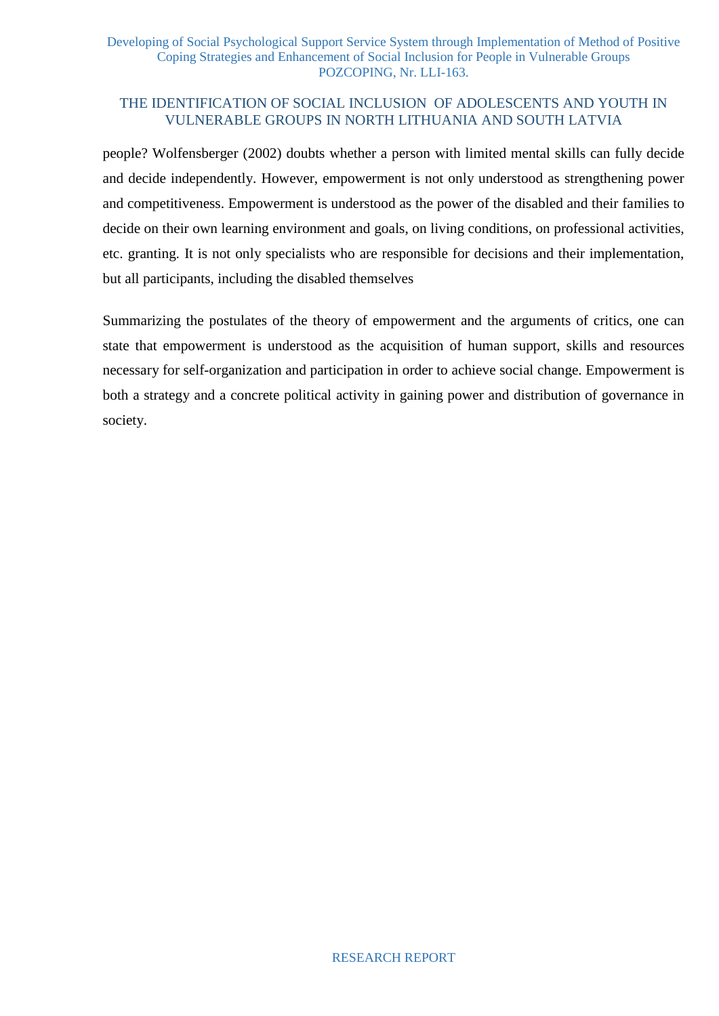# THE IDENTIFICATION OF SOCIAL INCLUSION OF ADOLESCENTS AND YOUTH IN VULNERABLE GROUPS IN NORTH LITHUANIA AND SOUTH LATVIA

people? Wolfensberger (2002) doubts whether a person with limited mental skills can fully decide and decide independently. However, empowerment is not only understood as strengthening power and competitiveness. Empowerment is understood as the power of the disabled and their families to decide on their own learning environment and goals, on living conditions, on professional activities, etc. granting. It is not only specialists who are responsible for decisions and their implementation, but all participants, including the disabled themselves

Summarizing the postulates of the theory of empowerment and the arguments of critics, one can state that empowerment is understood as the acquisition of human support, skills and resources necessary for self-organization and participation in order to achieve social change. Empowerment is both a strategy and a concrete political activity in gaining power and distribution of governance in society.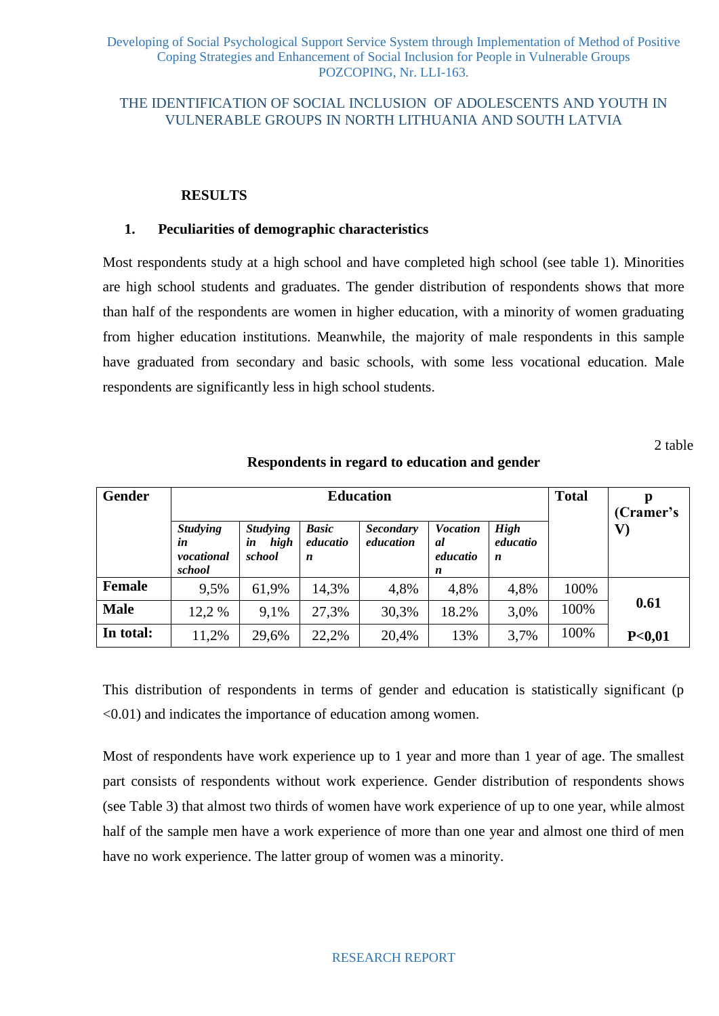## THE IDENTIFICATION OF SOCIAL INCLUSION OF ADOLESCENTS AND YOUTH IN VULNERABLE GROUPS IN NORTH LITHUANIA AND SOUTH LATVIA

#### **RESULTS**

#### **1. Peculiarities of demographic characteristics**

Most respondents study at a high school and have completed high school (see table 1). Minorities are high school students and graduates. The gender distribution of respondents shows that more than half of the respondents are women in higher education, with a minority of women graduating from higher education institutions. Meanwhile, the majority of male respondents in this sample have graduated from secondary and basic schools, with some less vocational education. Male respondents are significantly less in high school students.

2 table

| <b>Gender</b> |                                               |                                         | <b>Total</b>                  | р<br>(Cramer's                |                                        |                              |      |               |
|---------------|-----------------------------------------------|-----------------------------------------|-------------------------------|-------------------------------|----------------------------------------|------------------------------|------|---------------|
|               | <b>Studying</b><br>in<br>vocational<br>school | <b>Studying</b><br>high<br>in<br>school | <b>Basic</b><br>educatio<br>n | <b>Secondary</b><br>education | <b>Vocation</b><br>al<br>educatio<br>n | <b>High</b><br>educatio<br>n |      | $\mathbf{V})$ |
| <b>Female</b> | 9.5%                                          | 61,9%                                   | 14,3%                         | 4,8%                          | 4,8%                                   | 4,8%                         | 100% |               |
| <b>Male</b>   | 12,2 %                                        | 9.1%                                    | 27,3%                         | 30,3%                         | 18.2%                                  | 3,0%                         | 100% | 0.61          |
| In total:     | 11,2%                                         | 29,6%                                   | 22,2%                         | 20,4%                         | 13%                                    | 3,7%                         | 100% | P<0,01        |

**Respondents in regard to education and gender**

This distribution of respondents in terms of gender and education is statistically significant (p <0.01) and indicates the importance of education among women.

Most of respondents have work experience up to 1 year and more than 1 year of age. The smallest part consists of respondents without work experience. Gender distribution of respondents shows (see Table 3) that almost two thirds of women have work experience of up to one year, while almost half of the sample men have a work experience of more than one year and almost one third of men have no work experience. The latter group of women was a minority.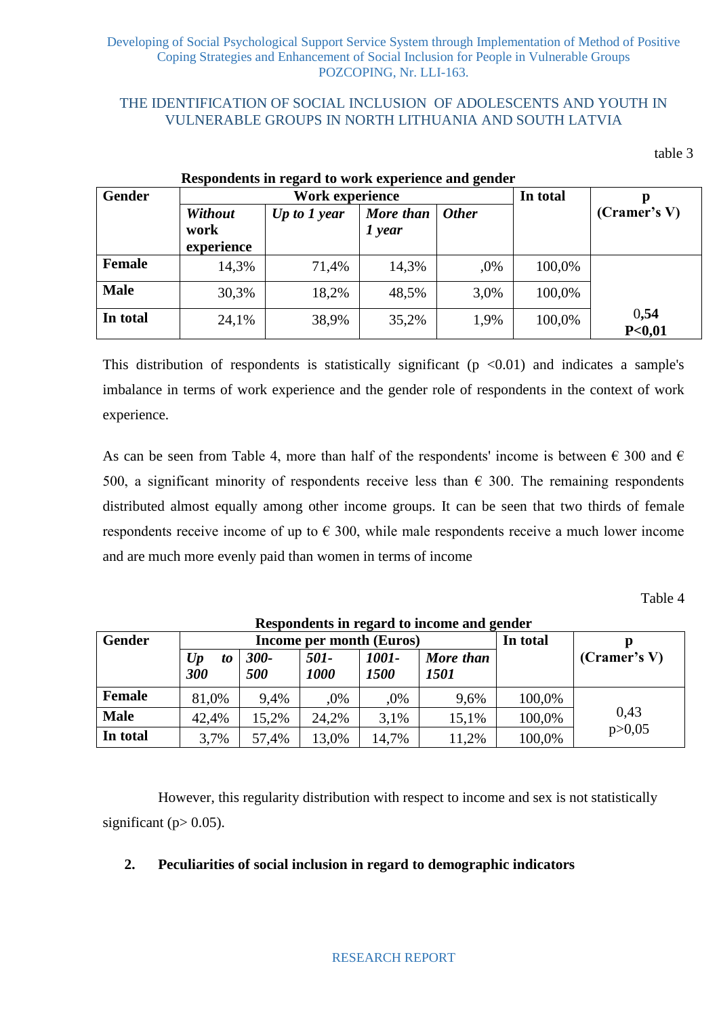table 3

|               |                               | Respondents in regard to work experience and gender |                       |              |          |                           |
|---------------|-------------------------------|-----------------------------------------------------|-----------------------|--------------|----------|---------------------------|
| <b>Gender</b> |                               | <b>Work experience</b>                              |                       |              | In total |                           |
|               | Without<br>work<br>experience | Up to $1$ year                                      | More than<br>$1$ year | <b>Other</b> |          | (Cramer's V)              |
| <b>Female</b> | 14,3%                         | 71,4%                                               | 14,3%                 | ,0%          | 100,0%   |                           |
| <b>Male</b>   | 30,3%                         | 18,2%                                               | 48,5%                 | 3,0%         | 100,0%   |                           |
| In total      | 24,1%                         | 38,9%                                               | 35,2%                 | 1,9%         | 100,0%   | 0,54<br>P <sub>0,01</sub> |

This distribution of respondents is statistically significant  $(p \lt 0.01)$  and indicates a sample's imbalance in terms of work experience and the gender role of respondents in the context of work experience.

As can be seen from Table 4, more than half of the respondents' income is between  $\epsilon$  300 and  $\epsilon$ 500, a significant minority of respondents receive less than  $\epsilon$  300. The remaining respondents distributed almost equally among other income groups. It can be seen that two thirds of female respondents receive income of up to  $\epsilon$  300, while male respondents receive a much lower income and are much more evenly paid than women in terms of income

Table 4

|               |                                      |                |              |               | Respondents in regard to income and gender |        |              |
|---------------|--------------------------------------|----------------|--------------|---------------|--------------------------------------------|--------|--------------|
| <b>Gender</b> | Income per month (Euros)<br>In total |                |              |               |                                            |        |              |
|               | U p<br>to<br>300                     | $300 -$<br>500 | 501-<br>1000 | 1001-<br>1500 | More than<br><i>1501</i>                   |        | (Cramer's V) |
| Female        | 81,0%                                | 9.4%           | .0%          | ,0%           | 9,6%                                       | 100,0% |              |
| <b>Male</b>   | 42,4%                                | 15,2%          | 24,2%        | 3,1%          | 15,1%                                      | 100,0% | 0,43         |
| In total      | 3,7%                                 | 57,4%          | 13,0%        | 14,7%         | 11,2%                                      | 100,0% | p > 0,05     |

However, this regularity distribution with respect to income and sex is not statistically significant ( $p > 0.05$ ).

# **2. Peculiarities of social inclusion in regard to demographic indicators**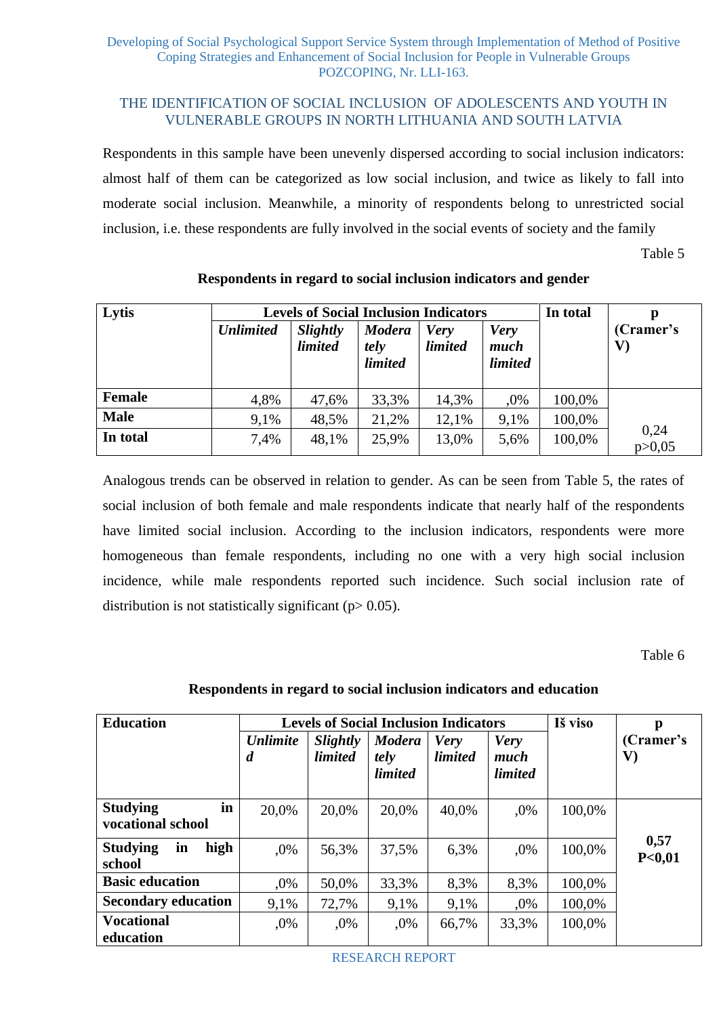Respondents in this sample have been unevenly dispersed according to social inclusion indicators: almost half of them can be categorized as low social inclusion, and twice as likely to fall into moderate social inclusion. Meanwhile, a minority of respondents belong to unrestricted social inclusion, i.e. these respondents are fully involved in the social events of society and the family

Table 5

| Lytis         |                  | <b>Levels of Social Inclusion Indicators</b> | In total                                |                        |                                       |        |                            |
|---------------|------------------|----------------------------------------------|-----------------------------------------|------------------------|---------------------------------------|--------|----------------------------|
|               | <b>Unlimited</b> | Slightly<br><i>limited</i>                   | <b>Modera</b><br>tely<br><i>limited</i> | <b>Very</b><br>limited | <b>Very</b><br>much<br><i>limited</i> |        | (Cramer's<br>$\mathbf{V})$ |
| <b>Female</b> | 4,8%             | 47,6%                                        | 33,3%                                   | 14,3%                  | ,0%                                   | 100,0% |                            |
| <b>Male</b>   | 9.1%             | 48,5%                                        | 21,2%                                   | 12,1%                  | 9,1%                                  | 100,0% |                            |
| In total      | 7,4%             | 48,1%                                        | 25,9%                                   | 13,0%                  | 5,6%                                  | 100,0% | 0,24<br>p > 0,05           |

# **Respondents in regard to social inclusion indicators and gender**

Analogous trends can be observed in relation to gender. As can be seen from Table 5, the rates of social inclusion of both female and male respondents indicate that nearly half of the respondents have limited social inclusion. According to the inclusion indicators, respondents were more homogeneous than female respondents, including no one with a very high social inclusion incidence, while male respondents reported such incidence. Such social inclusion rate of distribution is not statistically significant ( $p$  > 0.05).

Table 6

# **Respondents in regard to social inclusion indicators and education**

| <b>Education</b>                           |                                     |                            | <b>Levels of Social Inclusion Indicators</b> |                               |                                       | Iš viso | p                          |
|--------------------------------------------|-------------------------------------|----------------------------|----------------------------------------------|-------------------------------|---------------------------------------|---------|----------------------------|
|                                            | <b>Unlimite</b><br>$\boldsymbol{d}$ | Slightly<br><i>limited</i> | <b>Modera</b><br>tely<br><i>limited</i>      | <b>Very</b><br><i>limited</i> | <b>Very</b><br>much<br><i>limited</i> |         | (Cramer's<br>$\mathbf{V})$ |
| in<br><b>Studying</b><br>vocational school | 20,0%                               | 20,0%                      | 20,0%                                        | 40,0%                         | ,0%                                   | 100,0%  |                            |
| high<br><b>Studying</b><br>in<br>school    | ,0%                                 | 56,3%                      | 37,5%                                        | 6,3%                          | ,0%                                   | 100,0%  | 0,57<br>P<0,01             |
| <b>Basic education</b>                     | $.0\%$                              | 50,0%                      | 33,3%                                        | 8,3%                          | 8,3%                                  | 100,0%  |                            |
| <b>Secondary education</b>                 | 9.1%                                | 72,7%                      | 9,1%                                         | 9,1%                          | $,0\%$                                | 100,0%  |                            |
| <b>Vocational</b><br>education             | ,0%                                 | ,0%                        | ,0%                                          | 66,7%                         | 33,3%                                 | 100,0%  |                            |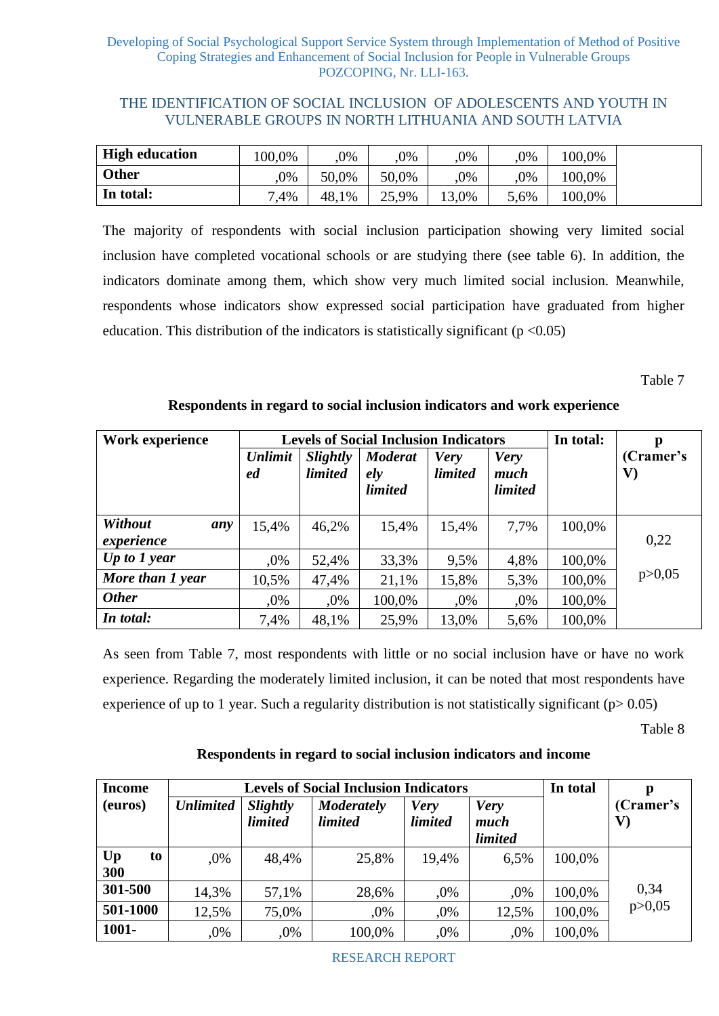| <b>High education</b> | 100.0% | ,0%   | 0%    | ,0%   | $.0\%$ | 100.0% |
|-----------------------|--------|-------|-------|-------|--------|--------|
| <b>Other</b>          | $.0\%$ | 50.0% | 50.0% | .0%   | $.0\%$ | 100.0% |
| In total:             | ,4%    | 48,1% | 25,9% | 13,0% | 5,6%   | 100,0% |

The majority of respondents with social inclusion participation showing very limited social inclusion have completed vocational schools or are studying there (see table 6). In addition, the indicators dominate among them, which show very much limited social inclusion. Meanwhile, respondents whose indicators show expressed social participation have graduated from higher education. This distribution of the indicators is statistically significant ( $p < 0.05$ )

Table 7

| Work experience              |                      |                                   | <b>Levels of Social Inclusion Indicators</b> |                               |                                       | In total: | p               |
|------------------------------|----------------------|-----------------------------------|----------------------------------------------|-------------------------------|---------------------------------------|-----------|-----------------|
|                              | <b>Unlimit</b><br>ed | <b>Slightly</b><br><i>limited</i> | <b>Moderat</b><br>ely<br><i>limited</i>      | <b>Very</b><br><i>limited</i> | <b>Very</b><br>much<br><i>limited</i> |           | (Cramer's<br>V) |
| Without<br>any<br>experience | 15,4%                | 46,2%                             | 15,4%                                        | 15,4%                         | 7,7%                                  | 100,0%    | 0,22            |
| Up to $1$ year               | .0%                  | 52,4%                             | 33,3%                                        | 9,5%                          | 4,8%                                  | 100,0%    |                 |
| More than 1 year             | 10,5%                | 47,4%                             | 21,1%                                        | 15,8%                         | 5,3%                                  | 100,0%    | p > 0,05        |
| <b>Other</b>                 | ,0%                  | ,0%                               | 100,0%                                       | $,0\%$                        | ,0%                                   | 100,0%    |                 |
| In total:                    | 7,4%                 | 48,1%                             | 25,9%                                        | 13,0%                         | 5,6%                                  | 100,0%    |                 |

# **Respondents in regard to social inclusion indicators and work experience**

As seen from Table 7, most respondents with little or no social inclusion have or have no work experience. Regarding the moderately limited inclusion, it can be noted that most respondents have experience of up to 1 year. Such a regularity distribution is not statistically significant ( $p > 0.05$ )

Table 8

# **Respondents in regard to social inclusion indicators and income**

| <b>Income</b>   |                  |                                   | <b>Levels of Social Inclusion Indicators</b> |                               |                                | In total | p               |
|-----------------|------------------|-----------------------------------|----------------------------------------------|-------------------------------|--------------------------------|----------|-----------------|
| (euros)         | <b>Unlimited</b> | <b>Slightly</b><br><i>limited</i> | <b>Moderately</b><br><i>limited</i>          | <b>Very</b><br><i>limited</i> | <b>Very</b><br>much<br>limited |          | (Cramer's<br>V) |
| Up<br>to<br>300 | $.0\%$           | 48,4%                             | 25,8%                                        | 19,4%                         | 6.5%                           | 100,0%   |                 |
| 301-500         | 14,3%            | 57,1%                             | 28,6%                                        | ,0%                           | ,0%                            | 100,0%   | 0,34            |
| 501-1000        | 12,5%            | 75,0%                             | ,0%                                          | ,0%                           | 12,5%                          | 100,0%   | p > 0,05        |
| 1001-           | ,0%              | ,0%                               | 100,0%                                       | ,0%                           | ,0%                            | 100,0%   |                 |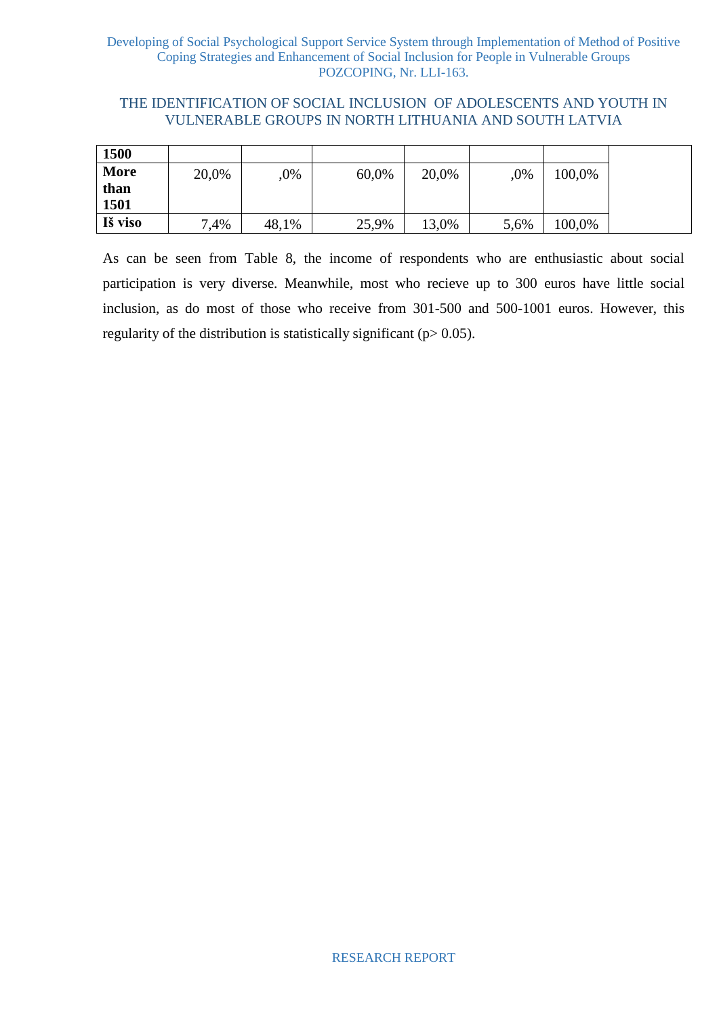# THE IDENTIFICATION OF SOCIAL INCLUSION OF ADOLESCENTS AND YOUTH IN VULNERABLE GROUPS IN NORTH LITHUANIA AND SOUTH LATVIA

| 1500    |       |       |       |       |      |        |
|---------|-------|-------|-------|-------|------|--------|
| More    | 20,0% | ,0%   | 60,0% | 20,0% | ,0%  | 100,0% |
| than    |       |       |       |       |      |        |
| 1501    |       |       |       |       |      |        |
| Iš viso | .4%   | 48,1% | 25,9% | 13,0% | 5,6% | 100,0% |

As can be seen from Table 8, the income of respondents who are enthusiastic about social participation is very diverse. Meanwhile, most who recieve up to 300 euros have little social inclusion, as do most of those who receive from 301-500 and 500-1001 euros. However, this regularity of the distribution is statistically significant ( $p$  > 0.05).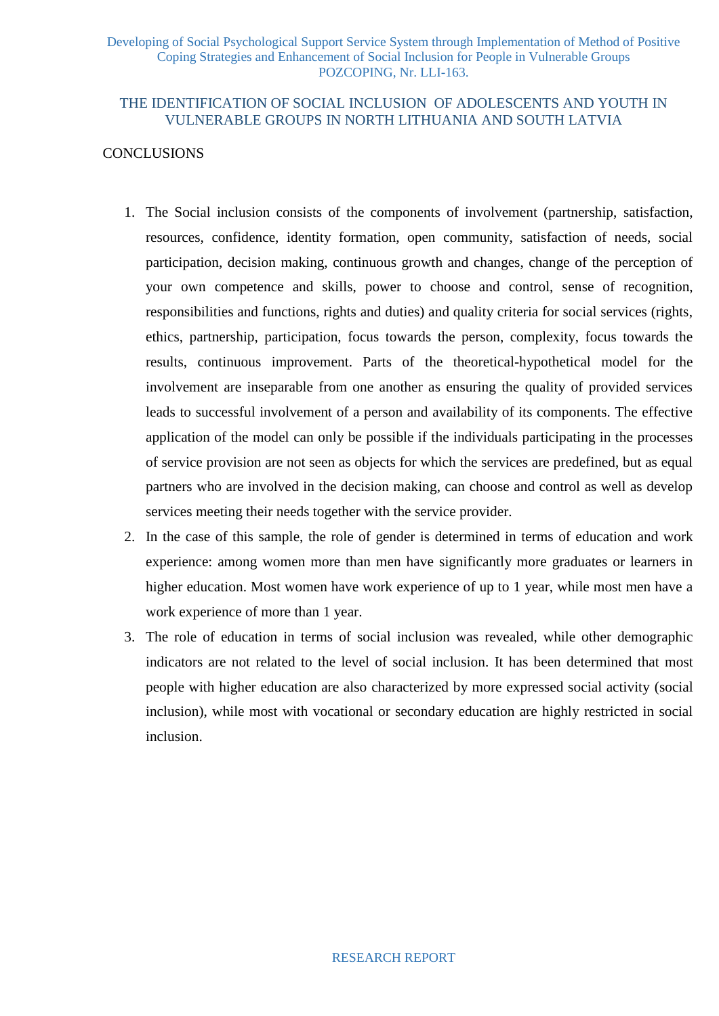# **CONCLUSIONS**

- 1. The Social inclusion consists of the components of involvement (partnership, satisfaction, resources, confidence, identity formation, open community, satisfaction of needs, social participation, decision making, continuous growth and changes, change of the perception of your own competence and skills, power to choose and control, sense of recognition, responsibilities and functions, rights and duties) and quality criteria for social services (rights, ethics, partnership, participation, focus towards the person, complexity, focus towards the results, continuous improvement. Parts of the theoretical-hypothetical model for the involvement are inseparable from one another as ensuring the quality of provided services leads to successful involvement of a person and availability of its components. The effective application of the model can only be possible if the individuals participating in the processes of service provision are not seen as objects for which the services are predefined, but as equal partners who are involved in the decision making, can choose and control as well as develop services meeting their needs together with the service provider.
- 2. In the case of this sample, the role of gender is determined in terms of education and work experience: among women more than men have significantly more graduates or learners in higher education. Most women have work experience of up to 1 year, while most men have a work experience of more than 1 year.
- 3. The role of education in terms of social inclusion was revealed, while other demographic indicators are not related to the level of social inclusion. It has been determined that most people with higher education are also characterized by more expressed social activity (social inclusion), while most with vocational or secondary education are highly restricted in social inclusion.